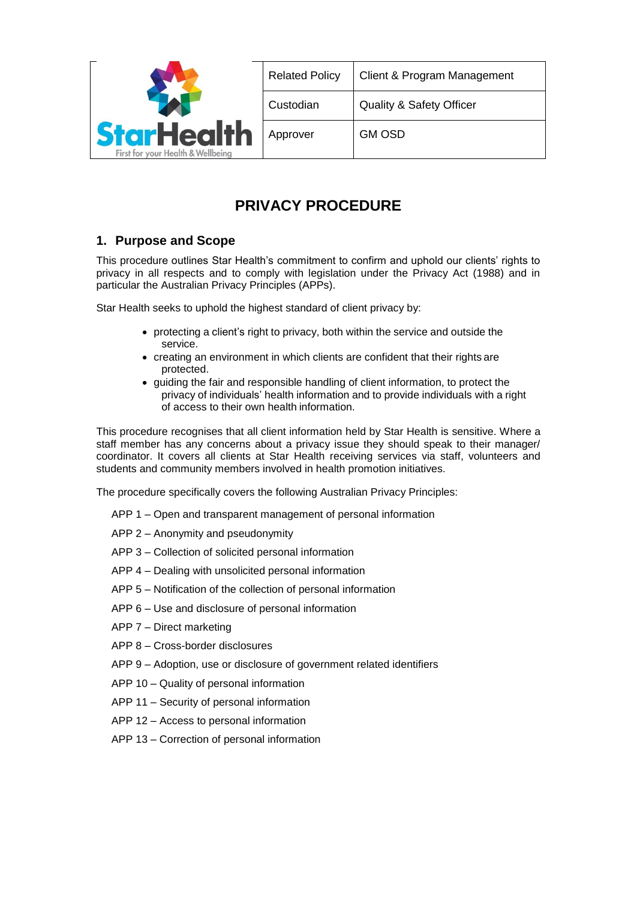

| Client & Program Management         |
|-------------------------------------|
| <b>Quality &amp; Safety Officer</b> |
| <b>GM OSD</b>                       |
|                                     |

# **PRIVACY PROCEDURE**

## **1. Purpose and Scope**

This procedure outlines Star Health's commitment to confirm and uphold our clients' rights to privacy in all respects and to comply with legislation under the Privacy Act (1988) and in particular the Australian Privacy Principles (APPs).

Star Health seeks to uphold the highest standard of client privacy by:

- protecting a client's right to privacy, both within the service and outside the service.
- creating an environment in which clients are confident that their rights are protected.
- guiding the fair and responsible handling of client information, to protect the privacy of individuals' health information and to provide individuals with a right of access to their own health information.

This procedure recognises that all client information held by Star Health is sensitive. Where a staff member has any concerns about a privacy issue they should speak to their manager/ coordinator. It covers all clients at Star Health receiving services via staff, volunteers and students and community members involved in health promotion initiatives.

The procedure specifically covers the following Australian Privacy Principles:

- APP 1 Open and transparent management of personal information
- APP 2 Anonymity and pseudonymity
- APP 3 Collection of solicited personal information
- APP 4 Dealing with unsolicited personal information
- APP 5 Notification of the collection of personal information
- APP 6 Use and disclosure of personal information
- APP 7 Direct marketing
- APP 8 Cross-border disclosures
- APP 9 Adoption, use or disclosure of government related identifiers
- APP 10 Quality of personal information
- APP 11 Security of personal information
- APP 12 Access to personal information
- APP 13 Correction of personal information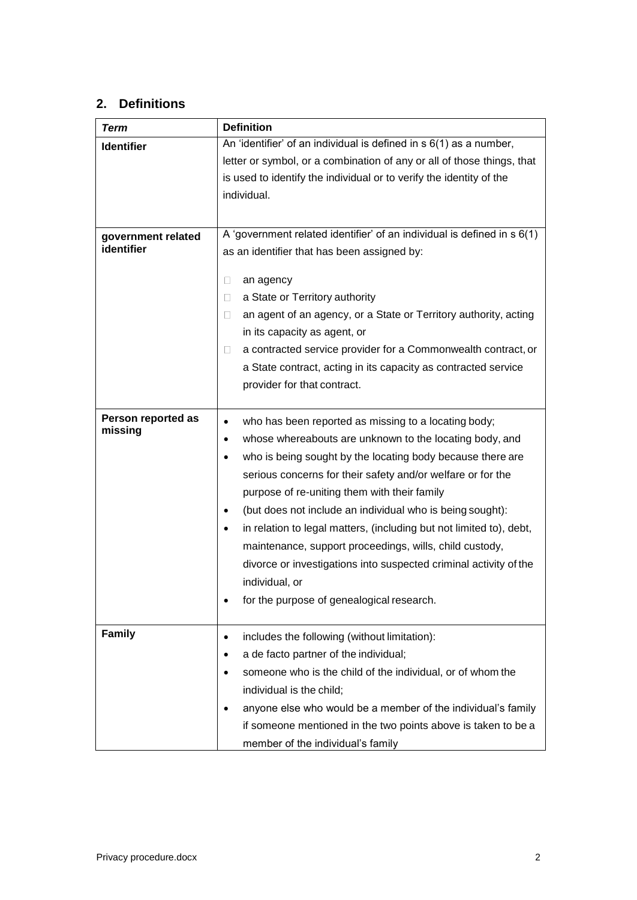## **2. Definitions**

| <b>Term</b>                   | <b>Definition</b>                                                          |  |  |
|-------------------------------|----------------------------------------------------------------------------|--|--|
| <b>Identifier</b>             | An 'identifier' of an individual is defined in $s$ 6(1) as a number,       |  |  |
|                               | letter or symbol, or a combination of any or all of those things, that     |  |  |
|                               | is used to identify the individual or to verify the identity of the        |  |  |
|                               | individual.                                                                |  |  |
|                               |                                                                            |  |  |
| government related            | A 'government related identifier' of an individual is defined in $s$ 6(1)  |  |  |
| identifier                    | as an identifier that has been assigned by:                                |  |  |
|                               |                                                                            |  |  |
|                               | $\Box$<br>an agency                                                        |  |  |
|                               | a State or Territory authority<br>$\Box$                                   |  |  |
|                               | an agent of an agency, or a State or Territory authority, acting<br>$\Box$ |  |  |
|                               | in its capacity as agent, or                                               |  |  |
|                               | a contracted service provider for a Commonwealth contract, or<br>$\Box$    |  |  |
|                               | a State contract, acting in its capacity as contracted service             |  |  |
|                               | provider for that contract.                                                |  |  |
|                               |                                                                            |  |  |
| Person reported as<br>missing | who has been reported as missing to a locating body;<br>$\bullet$          |  |  |
|                               | whose whereabouts are unknown to the locating body, and<br>٠               |  |  |
|                               | who is being sought by the locating body because there are                 |  |  |
|                               | serious concerns for their safety and/or welfare or for the                |  |  |
|                               | purpose of re-uniting them with their family                               |  |  |
|                               | (but does not include an individual who is being sought):                  |  |  |
|                               | in relation to legal matters, (including but not limited to), debt,        |  |  |
|                               | maintenance, support proceedings, wills, child custody,                    |  |  |
|                               | divorce or investigations into suspected criminal activity of the          |  |  |
|                               | individual, or                                                             |  |  |
|                               | for the purpose of genealogical research.                                  |  |  |
|                               |                                                                            |  |  |
| <b>Family</b>                 | includes the following (without limitation):                               |  |  |
|                               | a de facto partner of the individual;<br>٠                                 |  |  |
|                               | someone who is the child of the individual, or of whom the                 |  |  |
|                               | individual is the child;                                                   |  |  |
|                               | anyone else who would be a member of the individual's family               |  |  |
|                               | if someone mentioned in the two points above is taken to be a              |  |  |
|                               | member of the individual's family                                          |  |  |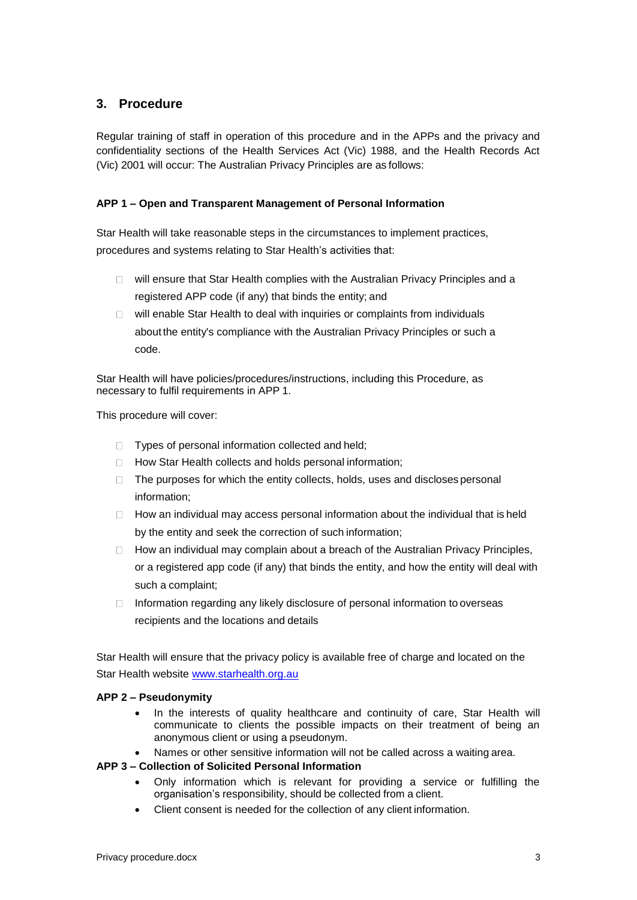## **3. Procedure**

Regular training of staff in operation of this procedure and in the APPs and the privacy and confidentiality sections of the Health Services Act (Vic) 1988, and the Health Records Act (Vic) 2001 will occur: The Australian Privacy Principles are as follows:

## **APP 1 – Open and Transparent Management of Personal Information**

Star Health will take reasonable steps in the circumstances to implement practices, procedures and systems relating to Star Health's activities that:

- $\Box$  will ensure that Star Health complies with the Australian Privacy Principles and a registered APP code (if any) that binds the entity; and
- □ will enable Star Health to deal with inquiries or complaints from individuals about the entity's compliance with the Australian Privacy Principles or such a code.

Star Health will have policies/procedures/instructions, including this Procedure, as necessary to fulfil requirements in APP 1.

This procedure will cover:

- $\Box$  Types of personal information collected and held;
- □ How Star Health collects and holds personal information;
- $\Box$  The purposes for which the entity collects, holds, uses and discloses personal information;
- $\Box$  How an individual may access personal information about the individual that is held by the entity and seek the correction of such information;
- $\Box$  How an individual may complain about a breach of the Australian Privacy Principles, or a registered app code (if any) that binds the entity, and how the entity will deal with such a complaint;
- $\Box$ Information regarding any likely disclosure of personal information to overseas recipients and the locations and details

Star Health will ensure that the privacy policy is available free of charge and located on the Star Health website [www.starhealth.org.au](http://www.starhealth.org.au/)

## **APP 2 – Pseudonymity**

- In the interests of quality healthcare and continuity of care, Star Health will communicate to clients the possible impacts on their treatment of being an anonymous client or using a pseudonym.
- Names or other sensitive information will not be called across a waiting area.

## **APP 3 – Collection of Solicited Personal Information**

- Only information which is relevant for providing a service or fulfilling the organisation's responsibility, should be collected from a client.
- Client consent is needed for the collection of any client information.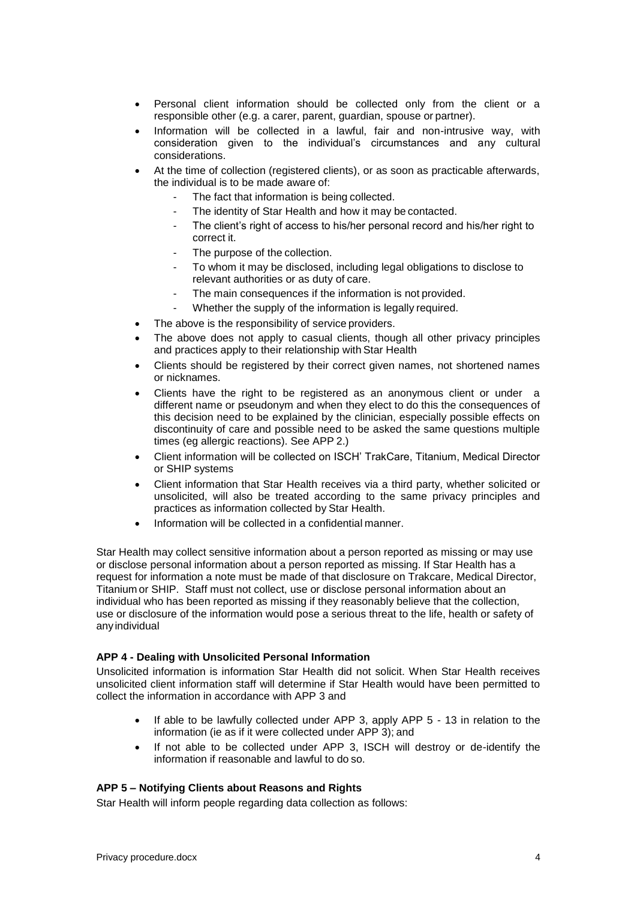- Personal client information should be collected only from the client or a responsible other (e.g. a carer, parent, guardian, spouse or partner).
- Information will be collected in a lawful, fair and non-intrusive way, with consideration given to the individual's circumstances and any cultural considerations.
- At the time of collection (registered clients), or as soon as practicable afterwards, the individual is to be made aware of:
	- The fact that information is being collected.
	- The identity of Star Health and how it may be contacted.
	- The client's right of access to his/her personal record and his/her right to correct it.
	- The purpose of the collection.
	- To whom it may be disclosed, including legal obligations to disclose to relevant authorities or as duty of care.
	- The main consequences if the information is not provided.
	- Whether the supply of the information is legally required.
- The above is the responsibility of service providers.
- The above does not apply to casual clients, though all other privacy principles and practices apply to their relationship with Star Health
- Clients should be registered by their correct given names, not shortened names or nicknames.
- Clients have the right to be registered as an anonymous client or under a different name or pseudonym and when they elect to do this the consequences of this decision need to be explained by the clinician, especially possible effects on discontinuity of care and possible need to be asked the same questions multiple times (eg allergic reactions). See APP 2.)
- Client information will be collected on ISCH' TrakCare, Titanium, Medical Director or SHIP systems
- Client information that Star Health receives via a third party, whether solicited or unsolicited, will also be treated according to the same privacy principles and practices as information collected by Star Health.
- Information will be collected in a confidential manner.

Star Health may collect sensitive information about a person reported as missing or may use or disclose personal information about a person reported as missing. If Star Health has a request for information a note must be made of that disclosure on Trakcare, Medical Director, Titanium or SHIP. Staff must not collect, use or disclose personal information about an individual who has been reported as missing if they reasonably believe that the collection, use or disclosure of the information would pose a serious threat to the life, health or safety of any individual

#### **APP 4 - Dealing with Unsolicited Personal Information**

Unsolicited information is information Star Health did not solicit. When Star Health receives unsolicited client information staff will determine if Star Health would have been permitted to collect the information in accordance with APP 3 and

- If able to be lawfully collected under APP 3, apply APP 5 13 in relation to the information (ie as if it were collected under APP 3); and
- If not able to be collected under APP 3, ISCH will destroy or de-identify the information if reasonable and lawful to do so.

## **APP 5 – Notifying Clients about Reasons and Rights**

Star Health will inform people regarding data collection as follows: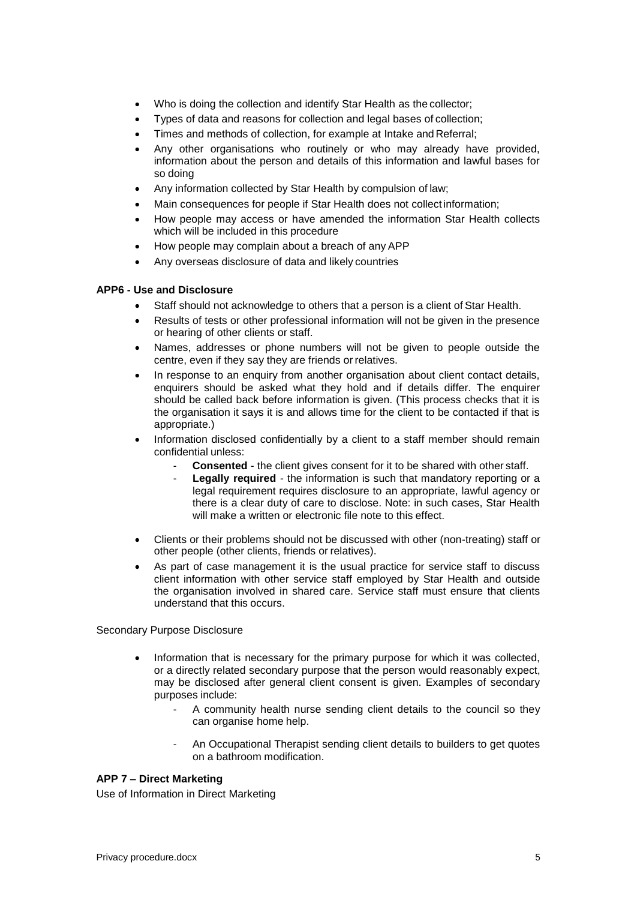- Who is doing the collection and identify Star Health as the collector;
- Types of data and reasons for collection and legal bases of collection;
- Times and methods of collection, for example at Intake and Referral;
- Any other organisations who routinely or who may already have provided, information about the person and details of this information and lawful bases for so doing
- Any information collected by Star Health by compulsion of law;
- Main consequences for people if Star Health does not collect information;
- How people may access or have amended the information Star Health collects which will be included in this procedure
- How people may complain about a breach of any APP
- Any overseas disclosure of data and likely countries

#### **APP6 - Use and Disclosure**

- Staff should not acknowledge to others that a person is a client of Star Health.
- Results of tests or other professional information will not be given in the presence or hearing of other clients or staff.
- Names, addresses or phone numbers will not be given to people outside the centre, even if they say they are friends or relatives.
- In response to an enquiry from another organisation about client contact details, enquirers should be asked what they hold and if details differ. The enquirer should be called back before information is given. (This process checks that it is the organisation it says it is and allows time for the client to be contacted if that is appropriate.)
- Information disclosed confidentially by a client to a staff member should remain confidential unless:
	- **Consented** the client gives consent for it to be shared with other staff.
	- Legally required the information is such that mandatory reporting or a legal requirement requires disclosure to an appropriate, lawful agency or there is a clear duty of care to disclose. Note: in such cases, Star Health will make a written or electronic file note to this effect.
- Clients or their problems should not be discussed with other (non-treating) staff or other people (other clients, friends or relatives).
- As part of case management it is the usual practice for service staff to discuss client information with other service staff employed by Star Health and outside the organisation involved in shared care. Service staff must ensure that clients understand that this occurs.

### Secondary Purpose Disclosure

- Information that is necessary for the primary purpose for which it was collected, or a directly related secondary purpose that the person would reasonably expect, may be disclosed after general client consent is given. Examples of secondary purposes include:
	- A community health nurse sending client details to the council so they can organise home help.
	- An Occupational Therapist sending client details to builders to get quotes on a bathroom modification.

## **APP 7 – Direct Marketing**

Use of Information in Direct Marketing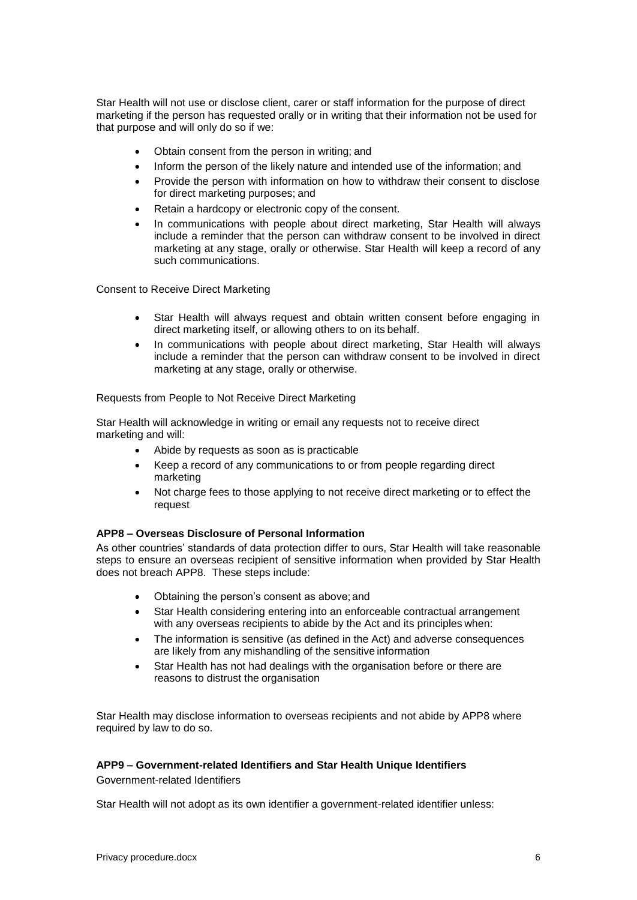Star Health will not use or disclose client, carer or staff information for the purpose of direct marketing if the person has requested orally or in writing that their information not be used for that purpose and will only do so if we:

- Obtain consent from the person in writing; and
- Inform the person of the likely nature and intended use of the information; and
- Provide the person with information on how to withdraw their consent to disclose for direct marketing purposes; and
- Retain a hardcopy or electronic copy of the consent.
- In communications with people about direct marketing, Star Health will always include a reminder that the person can withdraw consent to be involved in direct marketing at any stage, orally or otherwise. Star Health will keep a record of any such communications.

Consent to Receive Direct Marketing

- Star Health will always request and obtain written consent before engaging in direct marketing itself, or allowing others to on its behalf.
- In communications with people about direct marketing, Star Health will always include a reminder that the person can withdraw consent to be involved in direct marketing at any stage, orally or otherwise.

Requests from People to Not Receive Direct Marketing

Star Health will acknowledge in writing or email any requests not to receive direct marketing and will:

- Abide by requests as soon as is practicable
- Keep a record of any communications to or from people regarding direct marketing
- Not charge fees to those applying to not receive direct marketing or to effect the request

### **APP8 – Overseas Disclosure of Personal Information**

As other countries' standards of data protection differ to ours, Star Health will take reasonable steps to ensure an overseas recipient of sensitive information when provided by Star Health does not breach APP8. These steps include:

- Obtaining the person's consent as above; and
- Star Health considering entering into an enforceable contractual arrangement with any overseas recipients to abide by the Act and its principles when:
- The information is sensitive (as defined in the Act) and adverse consequences are likely from any mishandling of the sensitive information
- Star Health has not had dealings with the organisation before or there are reasons to distrust the organisation

Star Health may disclose information to overseas recipients and not abide by APP8 where required by law to do so.

## **APP9 – Government-related Identifiers and Star Health Unique Identifiers**

Government-related Identifiers

Star Health will not adopt as its own identifier a government-related identifier unless: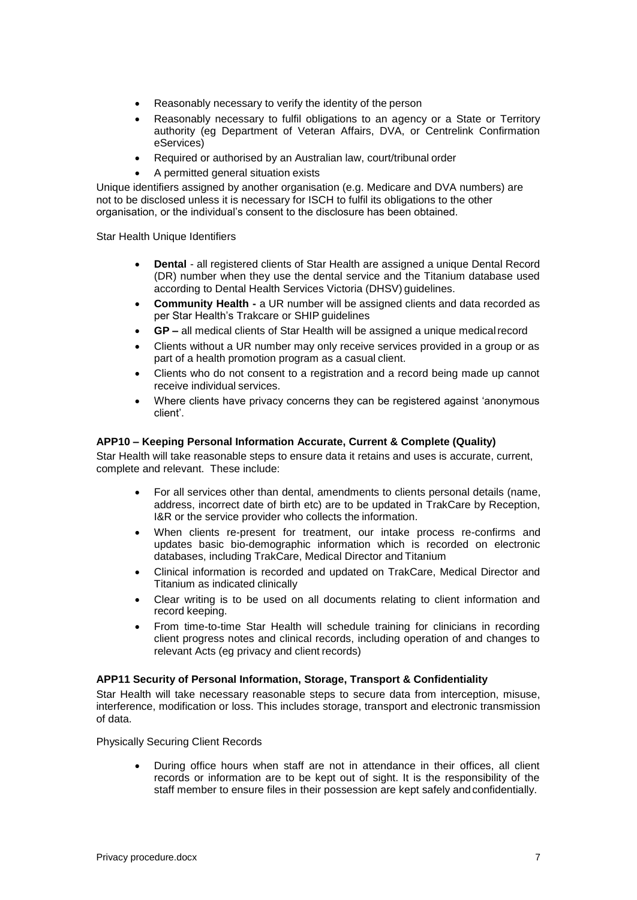- Reasonably necessary to verify the identity of the person
- Reasonably necessary to fulfil obligations to an agency or a State or Territory authority (eg Department of Veteran Affairs, DVA, or Centrelink Confirmation eServices)
- Required or authorised by an Australian law, court/tribunal order
- A permitted general situation exists

Unique identifiers assigned by another organisation (e.g. Medicare and DVA numbers) are not to be disclosed unless it is necessary for ISCH to fulfil its obligations to the other organisation, or the individual's consent to the disclosure has been obtained.

Star Health Unique Identifiers

- **Dental**  all registered clients of Star Health are assigned a unique Dental Record (DR) number when they use the dental service and the Titanium database used according to Dental Health Services Victoria (DHSV) guidelines.
- **Community Health -** a UR number will be assigned clients and data recorded as per Star Health's Trakcare or SHIP guidelines
- **GP –** all medical clients of Star Health will be assigned a unique medicalrecord
- Clients without a UR number may only receive services provided in a group or as part of a health promotion program as a casual client.
- Clients who do not consent to a registration and a record being made up cannot receive individual services.
- Where clients have privacy concerns they can be registered against 'anonymous client'.

#### **APP10 – Keeping Personal Information Accurate, Current & Complete (Quality)**

Star Health will take reasonable steps to ensure data it retains and uses is accurate, current, complete and relevant. These include:

- For all services other than dental, amendments to clients personal details (name, address, incorrect date of birth etc) are to be updated in TrakCare by Reception, I&R or the service provider who collects the information.
- When clients re-present for treatment, our intake process re-confirms and updates basic bio-demographic information which is recorded on electronic databases, including TrakCare, Medical Director and Titanium
- Clinical information is recorded and updated on TrakCare, Medical Director and Titanium as indicated clinically
- Clear writing is to be used on all documents relating to client information and record keeping.
- From time-to-time Star Health will schedule training for clinicians in recording client progress notes and clinical records, including operation of and changes to relevant Acts (eg privacy and client records)

#### **APP11 Security of Personal Information, Storage, Transport & Confidentiality**

Star Health will take necessary reasonable steps to secure data from interception, misuse, interference, modification or loss. This includes storage, transport and electronic transmission of data.

Physically Securing Client Records

 During office hours when staff are not in attendance in their offices, all client records or information are to be kept out of sight. It is the responsibility of the staff member to ensure files in their possession are kept safely andconfidentially.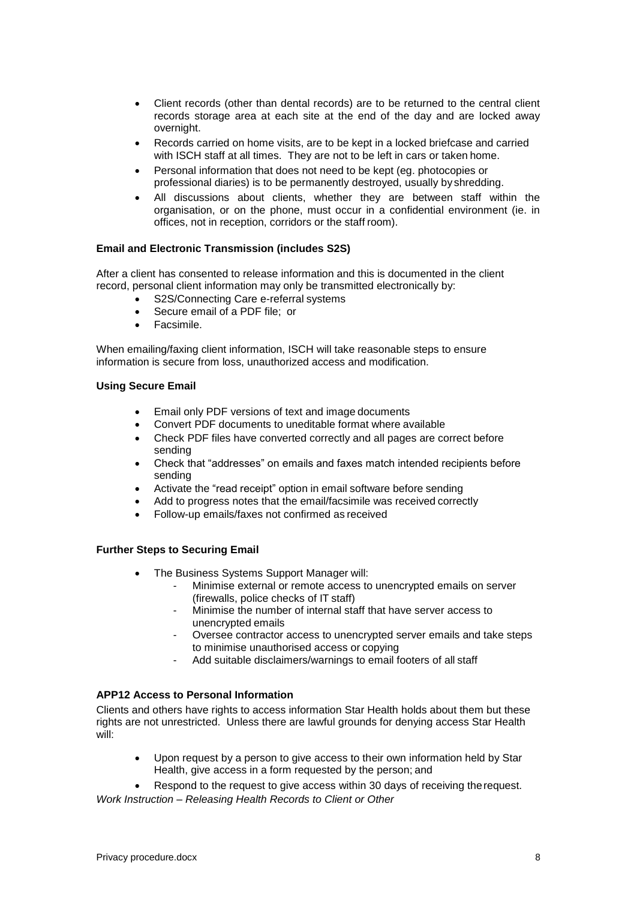- Client records (other than dental records) are to be returned to the central client records storage area at each site at the end of the day and are locked away overnight.
- Records carried on home visits, are to be kept in a locked briefcase and carried with ISCH staff at all times. They are not to be left in cars or taken home.
- Personal information that does not need to be kept (eg. photocopies or professional diaries) is to be permanently destroyed, usually by shredding.
- All discussions about clients, whether they are between staff within the organisation, or on the phone, must occur in a confidential environment (ie. in offices, not in reception, corridors or the staff room).

### **Email and Electronic Transmission (includes S2S)**

After a client has consented to release information and this is documented in the client record, personal client information may only be transmitted electronically by:

- S2S/Connecting Care e-referral systems
- Secure email of a PDF file; or
- **•** Facsimile.

When emailing/faxing client information, ISCH will take reasonable steps to ensure information is secure from loss, unauthorized access and modification.

#### **Using Secure Email**

- Email only PDF versions of text and image documents
- Convert PDF documents to uneditable format where available
- Check PDF files have converted correctly and all pages are correct before sending
- Check that "addresses" on emails and faxes match intended recipients before sending
- Activate the "read receipt" option in email software before sending
- Add to progress notes that the email/facsimile was received correctly
- Follow-up emails/faxes not confirmed as received

## **Further Steps to Securing Email**

- The Business Systems Support Manager will:
	- Minimise external or remote access to unencrypted emails on server (firewalls, police checks of IT staff)
	- Minimise the number of internal staff that have server access to unencrypted emails
	- Oversee contractor access to unencrypted server emails and take steps to minimise unauthorised access or copying
	- Add suitable disclaimers/warnings to email footers of all staff

## **APP12 Access to Personal Information**

Clients and others have rights to access information Star Health holds about them but these rights are not unrestricted. Unless there are lawful grounds for denying access Star Health will:

- Upon request by a person to give access to their own information held by Star Health, give access in a form requested by the person; and
- Respond to the request to give access within 30 days of receiving therequest. *Work Instruction – Releasing Health Records to Client or Other*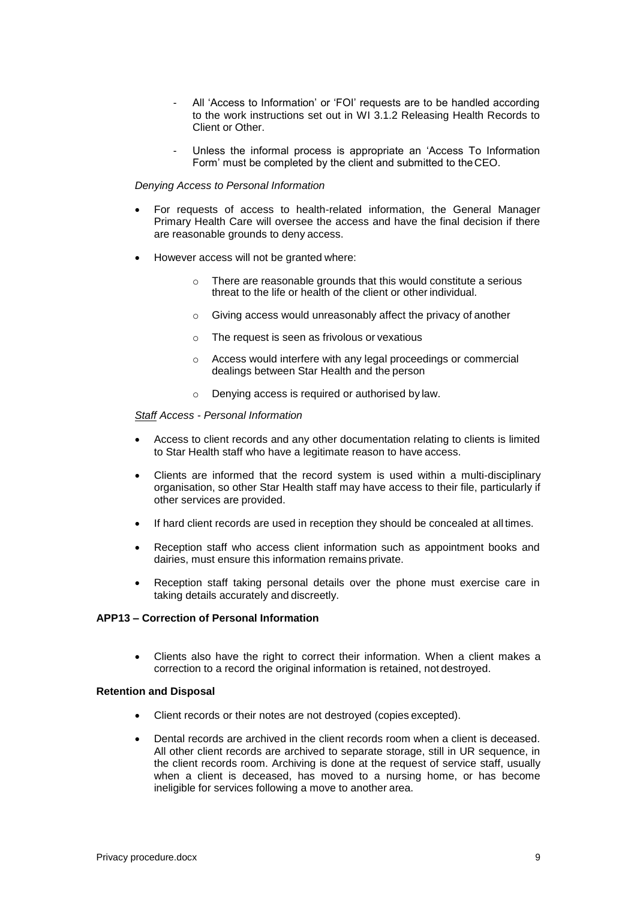- All 'Access to Information' or 'FOI' requests are to be handled according to the work instructions set out in WI 3.1.2 Releasing Health Records to Client or Other.
- Unless the informal process is appropriate an 'Access To Information Form' must be completed by the client and submitted to theCEO.

#### *Denying Access to Personal Information*

- For requests of access to health-related information, the General Manager Primary Health Care will oversee the access and have the final decision if there are reasonable grounds to deny access.
- However access will not be granted where:
	- There are reasonable grounds that this would constitute a serious threat to the life or health of the client or other individual.
	- o Giving access would unreasonably affect the privacy of another
	- o The request is seen as frivolous or vexatious
	- o Access would interfere with any legal proceedings or commercial dealings between Star Health and the person
	- o Denying access is required or authorised by law.

#### *Staff Access - Personal Information*

- Access to client records and any other documentation relating to clients is limited to Star Health staff who have a legitimate reason to have access.
- Clients are informed that the record system is used within a multi-disciplinary organisation, so other Star Health staff may have access to their file, particularly if other services are provided.
- If hard client records are used in reception they should be concealed at all times.
- Reception staff who access client information such as appointment books and dairies, must ensure this information remains private.
- Reception staff taking personal details over the phone must exercise care in taking details accurately and discreetly.

#### **APP13 – Correction of Personal Information**

 Clients also have the right to correct their information. When a client makes a correction to a record the original information is retained, not destroyed.

#### **Retention and Disposal**

- Client records or their notes are not destroyed (copies excepted).
- Dental records are archived in the client records room when a client is deceased. All other client records are archived to separate storage, still in UR sequence, in the client records room. Archiving is done at the request of service staff, usually when a client is deceased, has moved to a nursing home, or has become ineligible for services following a move to another area.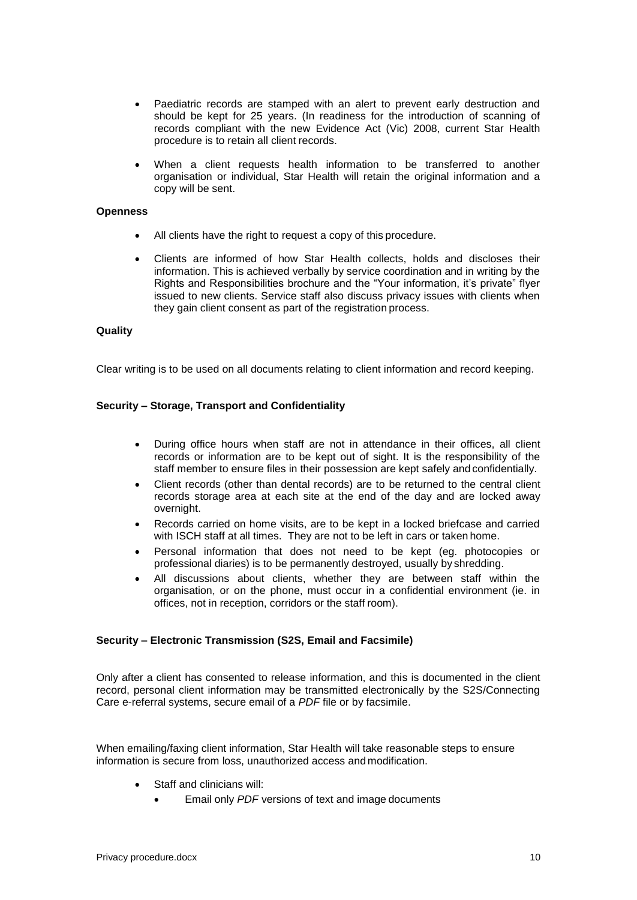- Paediatric records are stamped with an alert to prevent early destruction and should be kept for 25 years. (In readiness for the introduction of scanning of records compliant with the new Evidence Act (Vic) 2008, current Star Health procedure is to retain all client records.
- When a client requests health information to be transferred to another organisation or individual, Star Health will retain the original information and a copy will be sent.

#### **Openness**

- All clients have the right to request a copy of this procedure.
- Clients are informed of how Star Health collects, holds and discloses their information. This is achieved verbally by service coordination and in writing by the Rights and Responsibilities brochure and the "Your information, it's private" flyer issued to new clients. Service staff also discuss privacy issues with clients when they gain client consent as part of the registration process.

#### **Quality**

Clear writing is to be used on all documents relating to client information and record keeping.

#### **Security – Storage, Transport and Confidentiality**

- During office hours when staff are not in attendance in their offices, all client records or information are to be kept out of sight. It is the responsibility of the staff member to ensure files in their possession are kept safely and confidentially.
- Client records (other than dental records) are to be returned to the central client records storage area at each site at the end of the day and are locked away overnight.
- Records carried on home visits, are to be kept in a locked briefcase and carried with ISCH staff at all times. They are not to be left in cars or taken home.
- Personal information that does not need to be kept (eg. photocopies or professional diaries) is to be permanently destroyed, usually by shredding.
- All discussions about clients, whether they are between staff within the organisation, or on the phone, must occur in a confidential environment (ie. in offices, not in reception, corridors or the staff room).

#### **Security – Electronic Transmission (S2S, Email and Facsimile)**

Only after a client has consented to release information, and this is documented in the client record, personal client information may be transmitted electronically by the S2S/Connecting Care e-referral systems, secure email of a *PDF* file or by facsimile.

When emailing/faxing client information, Star Health will take reasonable steps to ensure information is secure from loss, unauthorized access and modification.

- Staff and clinicians will:
	- Email only *PDF* versions of text and image documents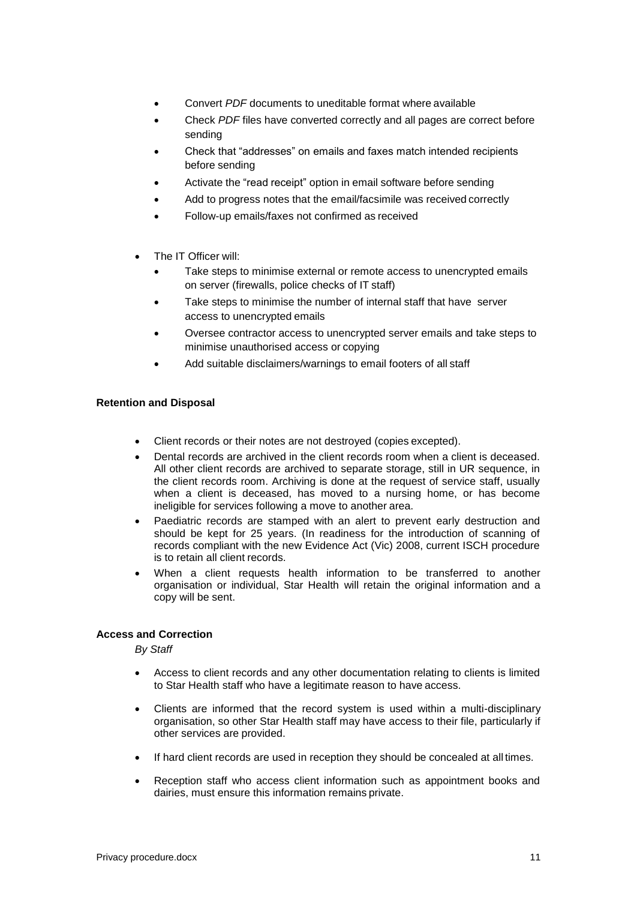- Convert *PDF* documents to uneditable format where available
- Check *PDF* files have converted correctly and all pages are correct before sending
- Check that "addresses" on emails and faxes match intended recipients before sending
- Activate the "read receipt" option in email software before sending
- Add to progress notes that the email/facsimile was received correctly
- Follow-up emails/faxes not confirmed as received
- The IT Officer will:
	- Take steps to minimise external or remote access to unencrypted emails on server (firewalls, police checks of IT staff)
	- Take steps to minimise the number of internal staff that have server access to unencrypted emails
	- Oversee contractor access to unencrypted server emails and take steps to minimise unauthorised access or copying
	- Add suitable disclaimers/warnings to email footers of all staff

#### **Retention and Disposal**

- Client records or their notes are not destroyed (copies excepted).
- Dental records are archived in the client records room when a client is deceased. All other client records are archived to separate storage, still in UR sequence, in the client records room. Archiving is done at the request of service staff, usually when a client is deceased, has moved to a nursing home, or has become ineligible for services following a move to another area.
- Paediatric records are stamped with an alert to prevent early destruction and should be kept for 25 years. (In readiness for the introduction of scanning of records compliant with the new Evidence Act (Vic) 2008, current ISCH procedure is to retain all client records.
- When a client requests health information to be transferred to another organisation or individual, Star Health will retain the original information and a copy will be sent.

#### **Access and Correction**

*By Staff*

- Access to client records and any other documentation relating to clients is limited to Star Health staff who have a legitimate reason to have access.
- Clients are informed that the record system is used within a multi-disciplinary organisation, so other Star Health staff may have access to their file, particularly if other services are provided.
- If hard client records are used in reception they should be concealed at all times.
- Reception staff who access client information such as appointment books and dairies, must ensure this information remains private.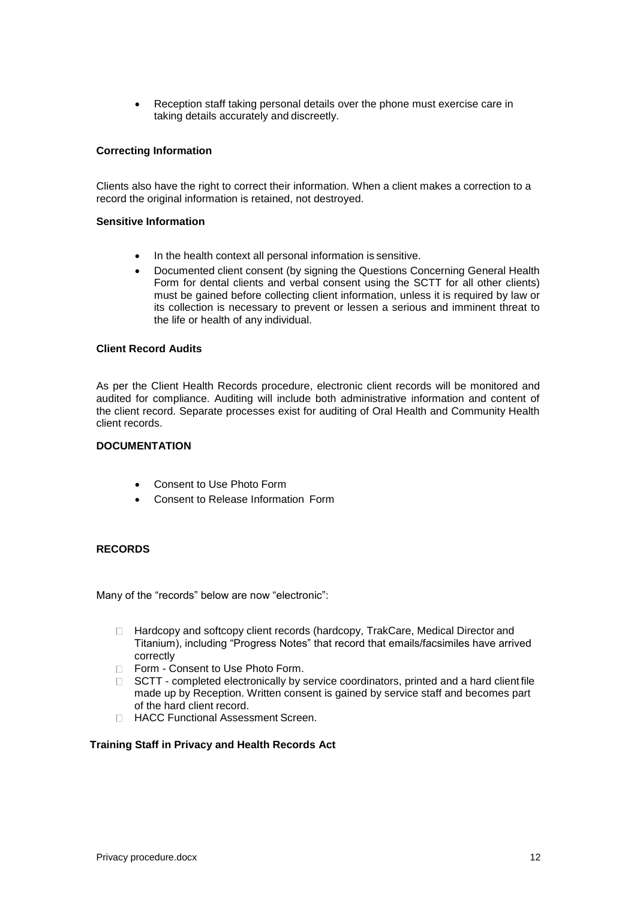Reception staff taking personal details over the phone must exercise care in taking details accurately and discreetly.

### **Correcting Information**

Clients also have the right to correct their information. When a client makes a correction to a record the original information is retained, not destroyed.

#### **Sensitive Information**

- In the health context all personal information is sensitive.
- Documented client consent (by signing the Questions Concerning General Health Form for dental clients and verbal consent using the SCTT for all other clients) must be gained before collecting client information, unless it is required by law or its collection is necessary to prevent or lessen a serious and imminent threat to the life or health of any individual.

#### **Client Record Audits**

As per the Client Health Records procedure, electronic client records will be monitored and audited for compliance. Auditing will include both administrative information and content of the client record. Separate processes exist for auditing of Oral Health and Community Health client records.

#### **DOCUMENTATION**

- Consent to Use Photo Form
- Consent to Release Information Form

### **RECORDS**

Many of the "records" below are now "electronic":

- □ Hardcopy and softcopy client records (hardcopy, TrakCare, Medical Director and Titanium), including "Progress Notes" that record that emails/facsimiles have arrived correctly
- □ Form Consent to Use Photo Form.
- $\Box$  SCTT completed electronically by service coordinators, printed and a hard client file made up by Reception. Written consent is gained by service staff and becomes part of the hard client record.
- □ HACC Functional Assessment Screen.

## **Training Staff in Privacy and Health Records Act**